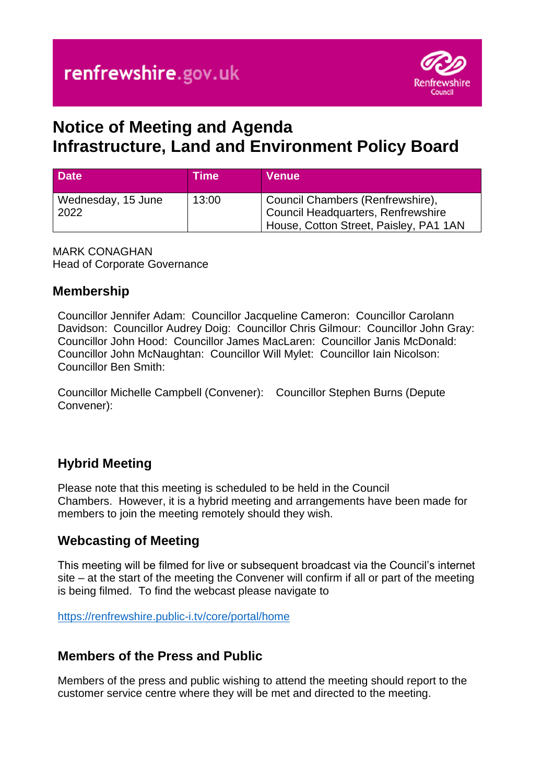

# **Notice of Meeting and Agenda Infrastructure, Land and Environment Policy Board**

| <b>Date</b>                | Time  | <b>Venue</b>                                                                                                     |
|----------------------------|-------|------------------------------------------------------------------------------------------------------------------|
| Wednesday, 15 June<br>2022 | 13:00 | Council Chambers (Renfrewshire),<br>Council Headquarters, Renfrewshire<br>House, Cotton Street, Paisley, PA1 1AN |

MARK CONAGHAN Head of Corporate Governance

#### **Membership**

Councillor Jennifer Adam: Councillor Jacqueline Cameron: Councillor Carolann Davidson: Councillor Audrey Doig: Councillor Chris Gilmour: Councillor John Gray: Councillor John Hood: Councillor James MacLaren: Councillor Janis McDonald: Councillor John McNaughtan: Councillor Will Mylet: Councillor Iain Nicolson: Councillor Ben Smith:

Councillor Michelle Campbell (Convener): Councillor Stephen Burns (Depute Convener):

# **Hybrid Meeting**

Please note that this meeting is scheduled to be held in the Council Chambers. However, it is a hybrid meeting and arrangements have been made for members to join the meeting remotely should they wish.

# **Webcasting of Meeting**

This meeting will be filmed for live or subsequent broadcast via the Council's internet site – at the start of the meeting the Convener will confirm if all or part of the meeting is being filmed. To find the webcast please navigate to

<https://renfrewshire.public-i.tv/core/portal/home>

# **Members of the Press and Public**

Members of the press and public wishing to attend the meeting should report to the customer service centre where they will be met and directed to the meeting.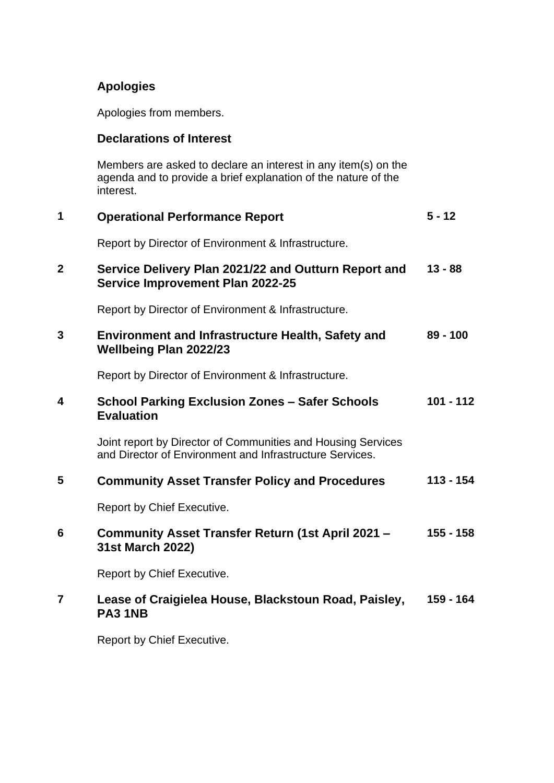### **Apologies**

Apologies from members.

#### **Declarations of Interest**

Members are asked to declare an interest in any item(s) on the agenda and to provide a brief explanation of the nature of the interest.

| 1              | <b>Operational Performance Report</b>                                                                                    | $5 - 12$    |
|----------------|--------------------------------------------------------------------------------------------------------------------------|-------------|
|                | Report by Director of Environment & Infrastructure.                                                                      |             |
| $\mathbf 2$    | Service Delivery Plan 2021/22 and Outturn Report and<br><b>Service Improvement Plan 2022-25</b>                          | $13 - 88$   |
|                | Report by Director of Environment & Infrastructure.                                                                      |             |
| 3              | <b>Environment and Infrastructure Health, Safety and</b><br><b>Wellbeing Plan 2022/23</b>                                | $89 - 100$  |
|                | Report by Director of Environment & Infrastructure.                                                                      |             |
| 4              | <b>School Parking Exclusion Zones - Safer Schools</b><br><b>Evaluation</b>                                               | $101 - 112$ |
|                | Joint report by Director of Communities and Housing Services<br>and Director of Environment and Infrastructure Services. |             |
| 5              | <b>Community Asset Transfer Policy and Procedures</b>                                                                    | $113 - 154$ |
|                | Report by Chief Executive.                                                                                               |             |
| 6              | Community Asset Transfer Return (1st April 2021 -<br>31st March 2022)                                                    | 155 - 158   |
|                | Report by Chief Executive.                                                                                               |             |
| $\overline{7}$ | Lease of Craigielea House, Blackstoun Road, Paisley,<br>PA3 1NB                                                          | 159 - 164   |

Report by Chief Executive.